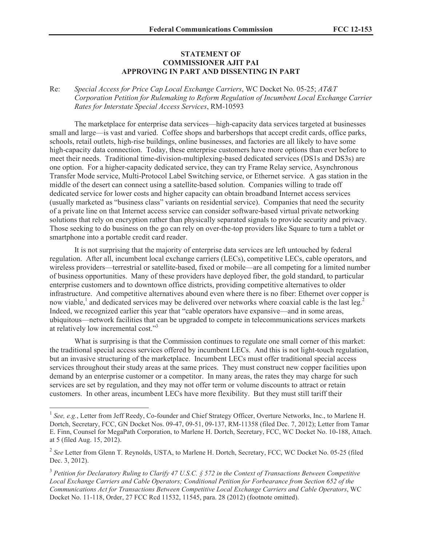## **STATEMENT OF COMMISSIONER AJIT PAI APPROVING IN PART AND DISSENTING IN PART**

Re: *Special Access for Price Cap Local Exchange Carriers*, WC Docket No. 05-25; *AT&T Corporation Petition for Rulemaking to Reform Regulation of Incumbent Local Exchange Carrier Rates for Interstate Special Access Services*, RM-10593

The marketplace for enterprise data services—high-capacity data services targeted at businesses small and large—is vast and varied. Coffee shops and barbershops that accept credit cards, office parks, schools, retail outlets, high-rise buildings, online businesses, and factories are all likely to have some high-capacity data connection. Today, these enterprise customers have more options than ever before to meet their needs. Traditional time-division-multiplexing-based dedicated services (DS1s and DS3s) are one option. For a higher-capacity dedicated service, they can try Frame Relay service, Asynchronous Transfer Mode service, Multi-Protocol Label Switching service, or Ethernet service. A gas station in the middle of the desert can connect using a satellite-based solution. Companies willing to trade off dedicated service for lower costs and higher capacity can obtain broadband Internet access services (usually marketed as "business class" variants on residential service). Companies that need the security of a private line on that Internet access service can consider software-based virtual private networking solutions that rely on encryption rather than physically separated signals to provide security and privacy. Those seeking to do business on the go can rely on over-the-top providers like Square to turn a tablet or smartphone into a portable credit card reader.

It is not surprising that the majority of enterprise data services are left untouched by federal regulation. After all, incumbent local exchange carriers (LECs), competitive LECs, cable operators, and wireless providers—terrestrial or satellite-based, fixed or mobile—are all competing for a limited number of business opportunities. Many of these providers have deployed fiber, the gold standard, to particular enterprise customers and to downtown office districts, providing competitive alternatives to older infrastructure. And competitive alternatives abound even where there is no fiber: Ethernet over copper is now viable,<sup>1</sup> and dedicated services may be delivered over networks where coaxial cable is the last  $leg$ <sup>2</sup> Indeed, we recognized earlier this year that "cable operators have expansive—and in some areas, ubiquitous—network facilities that can be upgraded to compete in telecommunications services markets at relatively low incremental cost."<sup>3</sup>

What is surprising is that the Commission continues to regulate one small corner of this market: the traditional special access services offered by incumbent LECs. And this is not light-touch regulation, but an invasive structuring of the marketplace. Incumbent LECs must offer traditional special access services throughout their study areas at the same prices. They must construct new copper facilities upon demand by an enterprise customer or a competitor. In many areas, the rates they may charge for such services are set by regulation, and they may not offer term or volume discounts to attract or retain customers. In other areas, incumbent LECs have more flexibility. But they must still tariff their

<sup>&</sup>lt;sup>1</sup> See, e.g., Letter from Jeff Reedy, Co-founder and Chief Strategy Officer, Overture Networks, Inc., to Marlene H. Dortch, Secretary, FCC, GN Docket Nos. 09-47, 09-51, 09-137, RM-11358 (filed Dec. 7, 2012); Letter from Tamar E. Finn, Counsel for MegaPath Corporation, to Marlene H. Dortch, Secretary, FCC, WC Docket No. 10-188, Attach. at 5 (filed Aug. 15, 2012).

<sup>&</sup>lt;sup>2</sup> See Letter from Glenn T. Reynolds, USTA, to Marlene H. Dortch, Secretary, FCC, WC Docket No. 05-25 (filed Dec. 3, 2012).

<sup>3</sup> *Petition for Declaratory Ruling to Clarify 47 U.S.C. § 572 in the Context of Transactions Between Competitive Local Exchange Carriers and Cable Operators; Conditional Petition for Forbearance from Section 652 of the Communications Act for Transactions Between Competitive Local Exchange Carriers and Cable Operators*, WC Docket No. 11-118, Order, 27 FCC Rcd 11532, 11545, para. 28 (2012) (footnote omitted).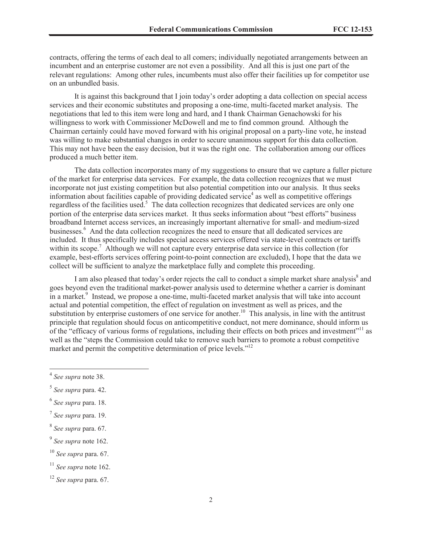contracts, offering the terms of each deal to all comers; individually negotiated arrangements between an incumbent and an enterprise customer are not even a possibility. And all this is just one part of the relevant regulations: Among other rules, incumbents must also offer their facilities up for competitor use on an unbundled basis.

It is against this background that I join today's order adopting a data collection on special access services and their economic substitutes and proposing a one-time, multi-faceted market analysis. The negotiations that led to this item were long and hard, and I thank Chairman Genachowski for his willingness to work with Commissioner McDowell and me to find common ground. Although the Chairman certainly could have moved forward with his original proposal on a party-line vote, he instead was willing to make substantial changes in order to secure unanimous support for this data collection. This may not have been the easy decision, but it was the right one. The collaboration among our offices produced a much better item.

The data collection incorporates many of my suggestions to ensure that we capture a fuller picture of the market for enterprise data services. For example, the data collection recognizes that we must incorporate not just existing competition but also potential competition into our analysis. It thus seeks information about facilities capable of providing dedicated service<sup>4</sup> as well as competitive offerings regardless of the facilities used.<sup>5</sup> The data collection recognizes that dedicated services are only one portion of the enterprise data services market. It thus seeks information about "best efforts" business broadband Internet access services, an increasingly important alternative for small- and medium-sized businesses.<sup>6</sup> And the data collection recognizes the need to ensure that all dedicated services are included. It thus specifically includes special access services offered via state-level contracts or tariffs within its scope.<sup>7</sup> Although we will not capture every enterprise data service in this collection (for example, best-efforts services offering point-to-point connection are excluded), I hope that the data we collect will be sufficient to analyze the marketplace fully and complete this proceeding.

I am also pleased that today's order rejects the call to conduct a simple market share analysis<sup>8</sup> and goes beyond even the traditional market-power analysis used to determine whether a carrier is dominant in a market.<sup>9</sup> Instead, we propose a one-time, multi-faceted market analysis that will take into account actual and potential competition, the effect of regulation on investment as well as prices, and the substitution by enterprise customers of one service for another.<sup>10</sup> This analysis, in line with the antitrust principle that regulation should focus on anticompetitive conduct, not mere dominance, should inform us of the "efficacy of various forms of regulations, including their effects on both prices and investment"<sup>11</sup> as well as the "steps the Commission could take to remove such barriers to promote a robust competitive market and permit the competitive determination of price levels."<sup>12</sup>

- 5 *See supra* para. 42.
- 6 *See supra* para. 18.
- 7 *See supra* para. 19.
- 8 *See supra* para. 67.
- 9 *See supra* note 162.
- <sup>10</sup> *See supra* para. 67.

<sup>4</sup> *See supra* note 38.

<sup>11</sup> *See supra* note 162.

<sup>12</sup> *See supra* para. 67.